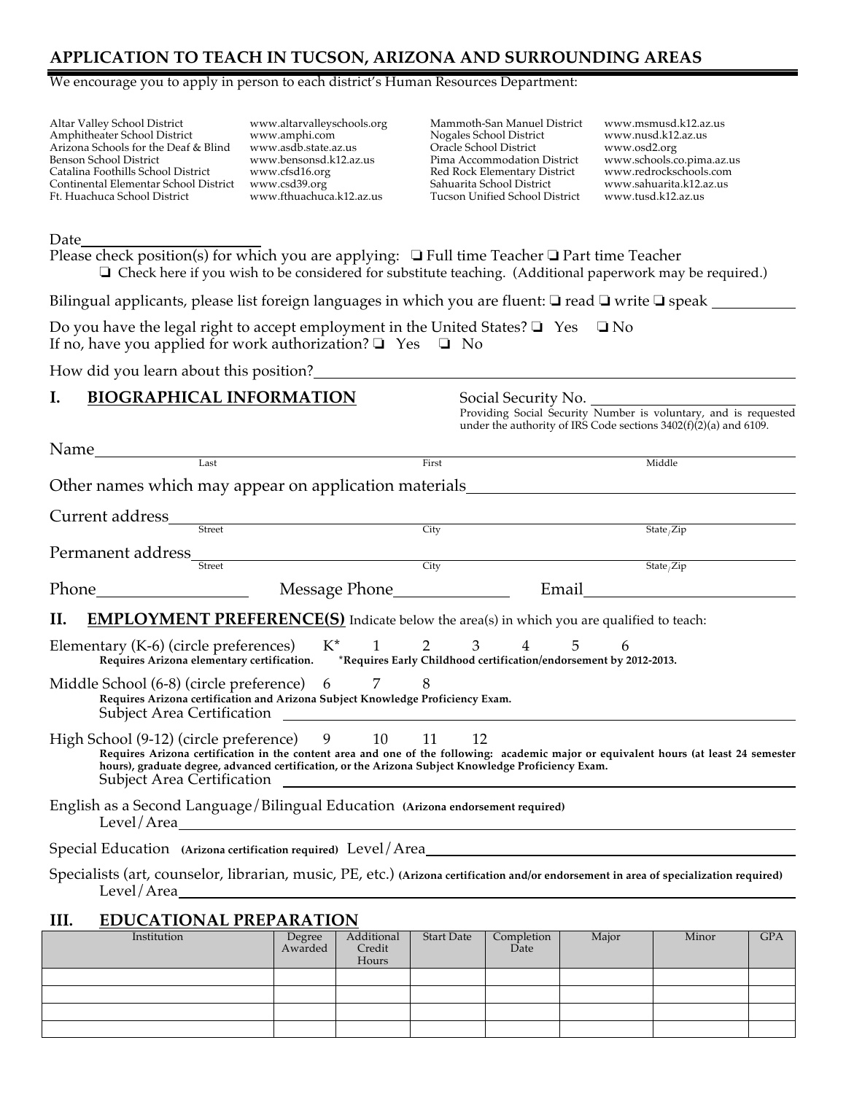## **APPLICATION TO TEACH IN TUCSON, ARIZONA AND SURROUNDING AREAS**

#### We encourage you to apply in person to each district's Human Resources Department:

Altar Valley School District Amphitheater School District Arizona Schools for the Deaf & Blind Benson School District Catalina Foothills School District Continental Elementar School District Ft. Huachuca School District

www.altarvalleyschools.org www.amphi.com www.asdb.state.az.us www.bensonsd.k12.az.us www.cfsd16.org www.csd39.org www.fthuachuca.k12.az.us

Mammoth-San Manuel District Nogales School District Oracle School District Pima Accommodation District Red Rock Elementary District Sahuarita School District Tucson Unified School District

www.msmusd.k12.az.us www.nusd.k12.az.us www.osd2.org www.schools.co.pima.az.us www.redrockschools.com www.sahuarita.k12.az.us www.tusd.k12.az.us

Date

Please check position(s) for which you are applying: ❏ Full time Teacher ❏ Part time Teacher ❏ Check here if you wish to be considered for substitute teaching. (Additional paperwork may be required.)

Bilingual applicants, please list foreign languages in which you are fluent: ❏ read ❏ write ❏ speak

Do you have the legal right to accept employment in the United States?  $\Box$  Yes  $\Box$  No If no, have you applied for work authorization?  $\Box$  Yes  $\Box$  No

How did you learn about this position?

#### **I. BIOGRAPHICAL INFORMATION** Social Security No.

Providing Social Security Number is voluntary, and is requested under the authority of IRS Code sections 3402(f)(2)(a) and 6109.

| Name |                                                                                                                                                                                                                                                                                                                                     |                   |                               |                   |                    |                                                                                                                                                                                                                                      |                                   |     |
|------|-------------------------------------------------------------------------------------------------------------------------------------------------------------------------------------------------------------------------------------------------------------------------------------------------------------------------------------|-------------------|-------------------------------|-------------------|--------------------|--------------------------------------------------------------------------------------------------------------------------------------------------------------------------------------------------------------------------------------|-----------------------------------|-----|
|      | Last                                                                                                                                                                                                                                                                                                                                |                   |                               | First             |                    |                                                                                                                                                                                                                                      | Middle                            |     |
|      | Other names which may appear on application materials                                                                                                                                                                                                                                                                               |                   |                               |                   |                    |                                                                                                                                                                                                                                      |                                   |     |
|      | Current address                                                                                                                                                                                                                                                                                                                     |                   |                               |                   |                    |                                                                                                                                                                                                                                      |                                   |     |
|      | Street                                                                                                                                                                                                                                                                                                                              |                   |                               | City              |                    |                                                                                                                                                                                                                                      | State $\overline{\mathsf{Zip}}$   |     |
|      | Permanent address_<br><b>Street</b>                                                                                                                                                                                                                                                                                                 |                   |                               | City              |                    |                                                                                                                                                                                                                                      | State $\overline{\mathsf{State}}$ |     |
|      |                                                                                                                                                                                                                                                                                                                                     |                   |                               |                   |                    | Email and the state of the state of the state of the state of the state of the state of the state of the state                                                                                                                       |                                   |     |
| П.   | <b>EMPLOYMENT PREFERENCE(S)</b> Indicate below the area(s) in which you are qualified to teach:                                                                                                                                                                                                                                     |                   |                               |                   |                    |                                                                                                                                                                                                                                      |                                   |     |
|      | Elementary (K-6) (circle preferences)<br>Requires Arizona elementary certification.                                                                                                                                                                                                                                                 |                   |                               | $K^*$ 1 2 3       | $\overline{4}$     | 5<br>6<br>*Requires Early Childhood certification/endorsement by 2012-2013.                                                                                                                                                          |                                   |     |
|      | Middle School (6-8) (circle preference)<br>Requires Arizona certification and Arizona Subject Knowledge Proficiency Exam.                                                                                                                                                                                                           | 6                 | 7                             | 8                 |                    |                                                                                                                                                                                                                                      |                                   |     |
|      | High School (9-12) (circle preference) 9 10 11<br>Requires Arizona certification in the content area and one of the following: academic major or equivalent hours (at least 24 semester<br>hours), graduate degree, advanced certification, or the Arizona Subject Knowledge Proficiency Exam.<br><b>Subject Area Certification</b> |                   |                               | 12                |                    | <u> 1989 - Johann Harry Harry Harry Harry Harry Harry Harry Harry Harry Harry Harry Harry Harry Harry Harry Harry Harry Harry Harry Harry Harry Harry Harry Harry Harry Harry Harry Harry Harry Harry Harry Harry Harry Harry Ha</u> |                                   |     |
|      | English as a Second Language/Bilingual Education (Arizona endorsement required)                                                                                                                                                                                                                                                     |                   |                               |                   |                    |                                                                                                                                                                                                                                      |                                   |     |
|      | Special Education (Arizona certification required) Level/Area                                                                                                                                                                                                                                                                       |                   |                               |                   |                    |                                                                                                                                                                                                                                      |                                   |     |
|      | Specialists (art, counselor, librarian, music, PE, etc.) (Arizona certification and/or endorsement in area of specialization required)                                                                                                                                                                                              |                   |                               |                   |                    |                                                                                                                                                                                                                                      |                                   |     |
| III. | <b>EDUCATIONAL PREPARATION</b>                                                                                                                                                                                                                                                                                                      |                   |                               |                   |                    |                                                                                                                                                                                                                                      |                                   |     |
|      | Institution                                                                                                                                                                                                                                                                                                                         | Degree<br>Awarded | Additional<br>Credit<br>Hours | <b>Start Date</b> | Completion<br>Date | Major                                                                                                                                                                                                                                | Minor                             | GPA |
|      |                                                                                                                                                                                                                                                                                                                                     |                   |                               |                   |                    |                                                                                                                                                                                                                                      |                                   |     |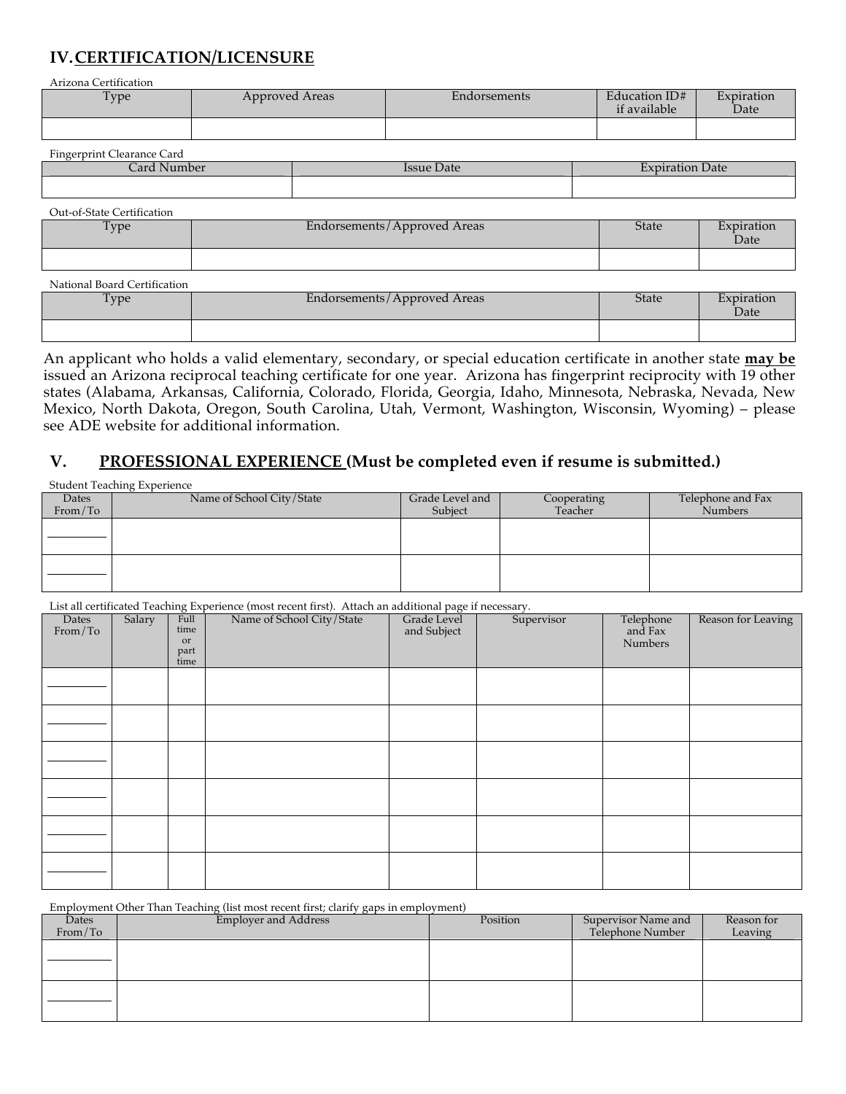# **IV.CERTIFICATION/LICENSURE**

Arizona Certification

| $T_{V}$ pe | Approved Areas | Endorsements | Education ID#<br>if available | Expiration<br>Date |
|------------|----------------|--------------|-------------------------------|--------------------|
|            |                |              |                               |                    |

| $\sim$ $\sim$<br>$\mathbf{r}$<br>Fingerprint C<br>: Clearance Card |                      |                 |
|--------------------------------------------------------------------|----------------------|-----------------|
| ard I<br>Number                                                    | <b>Date</b><br>Issue | Expiration Date |
|                                                                    |                      |                 |

| Out-of-State Certification |                               |              |                    |
|----------------------------|-------------------------------|--------------|--------------------|
| Type                       | Endorsements / Approved Areas | <b>State</b> | Expiration<br>Date |
|                            |                               |              |                    |

| National Board Certification |                             |              |                    |
|------------------------------|-----------------------------|--------------|--------------------|
| Type                         | Endorsements/Approved Areas | <b>State</b> | Expiration<br>Date |
|                              |                             |              |                    |

An applicant who holds a valid elementary, secondary, or special education certificate in another state **may be** issued an Arizona reciprocal teaching certificate for one year. Arizona has fingerprint reciprocity with 19 other states (Alabama, Arkansas, California, Colorado, Florida, Georgia, Idaho, Minnesota, Nebraska, Nevada, New Mexico, North Dakota, Oregon, South Carolina, Utah, Vermont, Washington, Wisconsin, Wyoming) – please see ADE website for additional information.

#### **V. PROFESSIONAL EXPERIENCE (Must be completed even if resume is submitted.)**

|                           | <b>Student Teaching Experience</b> |                            |                        |                                     |
|---------------------------|------------------------------------|----------------------------|------------------------|-------------------------------------|
| <b>Dates</b><br>From / To | Name of School City/State          | Grade Level and<br>Subject | Cooperating<br>Teacher | Telephone and Fax<br><b>Numbers</b> |
|                           |                                    |                            |                        |                                     |
|                           |                                    |                            |                        |                                     |
|                           |                                    |                            |                        |                                     |
|                           |                                    |                            |                        |                                     |
|                           |                                    |                            |                        |                                     |
|                           |                                    |                            |                        |                                     |
|                           |                                    |                            |                        |                                     |

List all certificated Teaching Experience (most recent first). Attach an additional page if necessary.

|                  |        |                                    | List all certificated Teaching Experience (most recent first). Attach an additional page if necessary. |                            |            |                                 |                    |
|------------------|--------|------------------------------------|--------------------------------------------------------------------------------------------------------|----------------------------|------------|---------------------------------|--------------------|
| Dates<br>From/To | Salary | Full<br>time<br>or<br>part<br>time | Name of School City/State                                                                              | Grade Level<br>and Subject | Supervisor | Telephone<br>and Fax<br>Numbers | Reason for Leaving |
|                  |        |                                    |                                                                                                        |                            |            |                                 |                    |
|                  |        |                                    |                                                                                                        |                            |            |                                 |                    |
|                  |        |                                    |                                                                                                        |                            |            |                                 |                    |
|                  |        |                                    |                                                                                                        |                            |            |                                 |                    |
|                  |        |                                    |                                                                                                        |                            |            |                                 |                    |
|                  |        |                                    |                                                                                                        |                            |            |                                 |                    |

Employment Other Than Teaching (list most recent first; clarify gaps in employment)

| Dates   | <b>Employer and Address</b> | Position | Supervisor Name and | Reason for |
|---------|-----------------------------|----------|---------------------|------------|
| From/To |                             |          | Telephone Number    | Leaving    |
|         |                             |          |                     |            |
|         |                             |          |                     |            |
|         |                             |          |                     |            |
|         |                             |          |                     |            |
|         |                             |          |                     |            |
|         |                             |          |                     |            |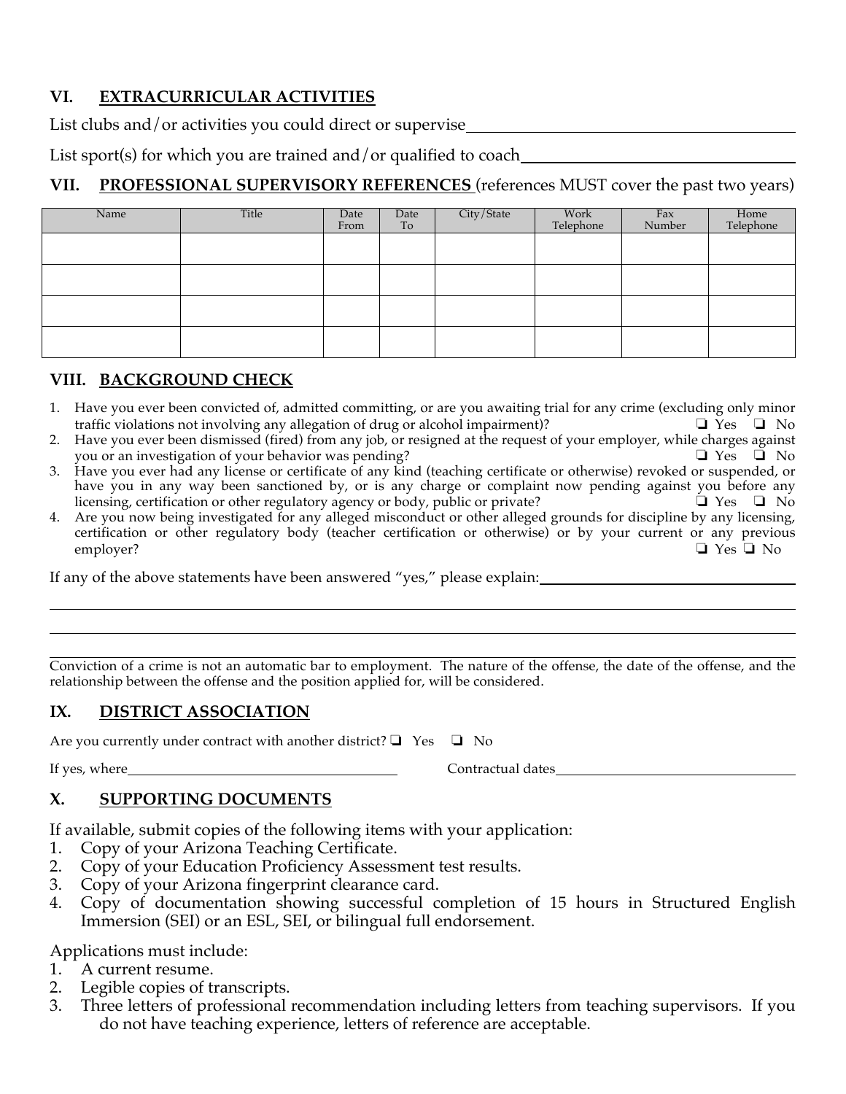## **VI. EXTRACURRICULAR ACTIVITIES**

List clubs and/or activities you could direct or supervise

List sport(s) for which you are trained and/or qualified to coach

## **VII. PROFESSIONAL SUPERVISORY REFERENCES** (references MUST cover the past two years)

| Name | Title | Date<br>From | Date<br>To | City/State | Work<br>Telephone | Fax<br>Number | Home<br>Telephone |
|------|-------|--------------|------------|------------|-------------------|---------------|-------------------|
|      |       |              |            |            |                   |               |                   |
|      |       |              |            |            |                   |               |                   |
|      |       |              |            |            |                   |               |                   |
|      |       |              |            |            |                   |               |                   |

#### **VIII. BACKGROUND CHECK**

- 1. Have you ever been convicted of, admitted committing, or are you awaiting trial for any crime (excluding only minor traffic violations not involving any allegation of drug or alcohol impairment)? <br>□ Yes □ No
- 2. Have you ever been dismissed (fired) from any job, or resigned at the request of your employer, while charges against you or an investigation of your behavior was pending? △ △ △ △ △ △ △ △ △ △ △ △ No
- 3. Have you ever had any license or certificate of any kind (teaching certificate or otherwise) revoked or suspended, or have you in any way been sanctioned by, or is any charge or complaint now pending against you before any licensing, certification or other regulatory agency or body, public or private? ❏ Yes ❏ No
- 4. Are you now being investigated for any alleged misconduct or other alleged grounds for discipline by any licensing, certification or other regulatory body (teacher certification or otherwise) or by your current or any previous employer? ❏ Yes ❏ No

If any of the above statements have been answered "yes," please explain:

Conviction of a crime is not an automatic bar to employment. The nature of the offense, the date of the offense, and the relationship between the offense and the position applied for, will be considered.

### **IX. DISTRICT ASSOCIATION**

Are you currently under contract with another district?  $\Box$  Yes  $\Box$  No

If yes, where <u>Contractual dates</u>

### **X. SUPPORTING DOCUMENTS**

If available, submit copies of the following items with your application:

- 1. Copy of your Arizona Teaching Certificate.
- 2. Copy of your Education Proficiency Assessment test results.
- 3. Copy of your Arizona fingerprint clearance card.
- 4. Copy of documentation showing successful completion of 15 hours in Structured English Immersion (SEI) or an ESL, SEI, or bilingual full endorsement.

Applications must include:

- 1. A current resume.
- 2. Legible copies of transcripts.
- 3. Three letters of professional recommendation including letters from teaching supervisors. If you do not have teaching experience, letters of reference are acceptable.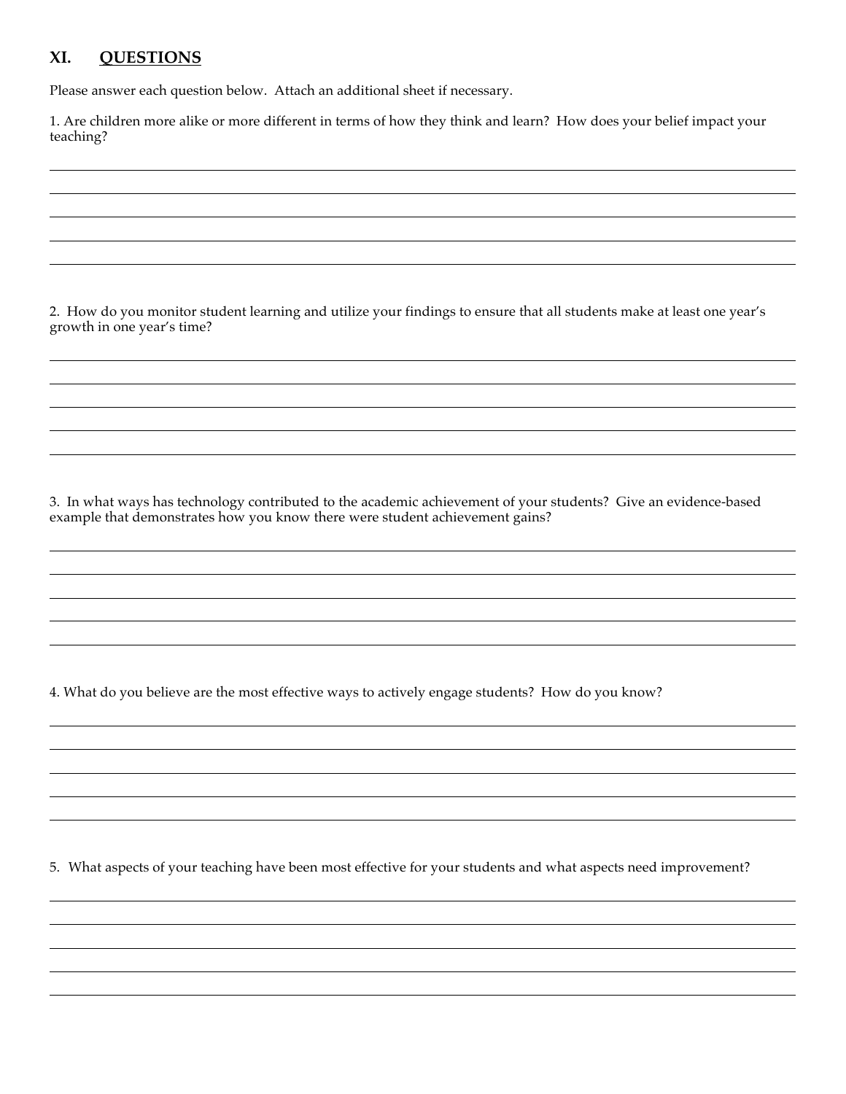#### **XI. QUESTIONS**

Please answer each question below. Attach an additional sheet if necessary.

1. Are children more alike or more different in terms of how they think and learn? How does your belief impact your teaching?

2. How do you monitor student learning and utilize your findings to ensure that all students make at least one year's growth in one year's time?

3. In what ways has technology contributed to the academic achievement of your students? Give an evidence-based example that demonstrates how you know there were student achievement gains?

4. What do you believe are the most effective ways to actively engage students? How do you know?

5. What aspects of your teaching have been most effective for your students and what aspects need improvement?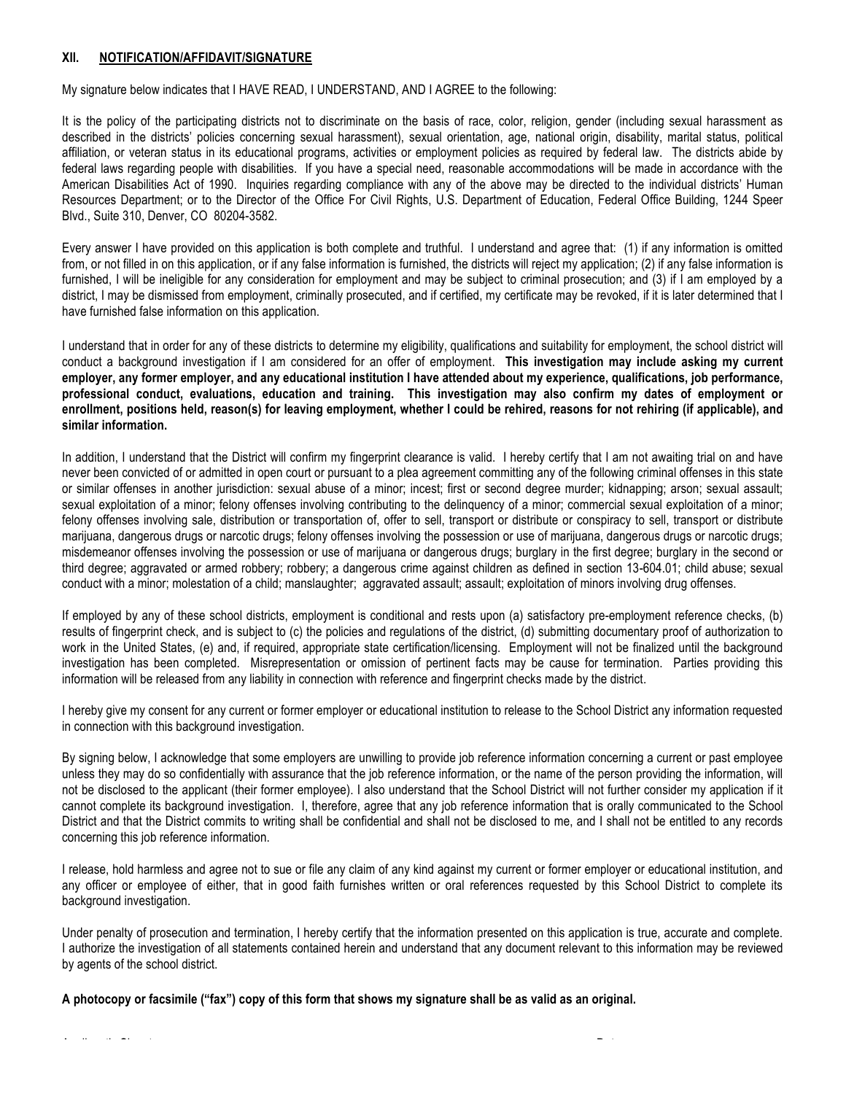#### **XII. NOTIFICATION/AFFIDAVIT/SIGNATURE**

My signature below indicates that I HAVE READ, I UNDERSTAND, AND I AGREE to the following:

It is the policy of the participating districts not to discriminate on the basis of race, color, religion, gender (including sexual harassment as described in the districts' policies concerning sexual harassment), sexual orientation, age, national origin, disability, marital status, political affiliation, or veteran status in its educational programs, activities or employment policies as required by federal law. The districts abide by federal laws regarding people with disabilities. If you have a special need, reasonable accommodations will be made in accordance with the American Disabilities Act of 1990. Inquiries regarding compliance with any of the above may be directed to the individual districts' Human Resources Department; or to the Director of the Office For Civil Rights, U.S. Department of Education, Federal Office Building, 1244 Speer Blvd., Suite 310, Denver, CO 80204-3582.

Every answer I have provided on this application is both complete and truthful. I understand and agree that: (1) if any information is omitted from, or not filled in on this application, or if any false information is furnished, the districts will reject my application; (2) if any false information is furnished, I will be ineligible for any consideration for employment and may be subject to criminal prosecution; and (3) if I am employed by a district, I may be dismissed from employment, criminally prosecuted, and if certified, my certificate may be revoked, if it is later determined that I have furnished false information on this application.

I understand that in order for any of these districts to determine my eligibility, qualifications and suitability for employment, the school district will conduct a background investigation if I am considered for an offer of employment. **This investigation may include asking my current employer, any former employer, and any educational institution I have attended about my experience, qualifications, job performance, professional conduct, evaluations, education and training. This investigation may also confirm my dates of employment or enrollment, positions held, reason(s) for leaving employment, whether I could be rehired, reasons for not rehiring (if applicable), and similar information.**

In addition, I understand that the District will confirm my fingerprint clearance is valid. I hereby certify that I am not awaiting trial on and have never been convicted of or admitted in open court or pursuant to a plea agreement committing any of the following criminal offenses in this state or similar offenses in another jurisdiction: sexual abuse of a minor; incest; first or second degree murder; kidnapping; arson; sexual assault; sexual exploitation of a minor; felony offenses involving contributing to the delinquency of a minor; commercial sexual exploitation of a minor; felony offenses involving sale, distribution or transportation of, offer to sell, transport or distribute or conspiracy to sell, transport or distribute marijuana, dangerous drugs or narcotic drugs; felony offenses involving the possession or use of marijuana, dangerous drugs or narcotic drugs; misdemeanor offenses involving the possession or use of marijuana or dangerous drugs; burglary in the first degree; burglary in the second or third degree; aggravated or armed robbery; robbery; a dangerous crime against children as defined in section 13-604.01; child abuse; sexual conduct with a minor; molestation of a child; manslaughter; aggravated assault; assault; exploitation of minors involving drug offenses.

If employed by any of these school districts, employment is conditional and rests upon (a) satisfactory pre-employment reference checks, (b) results of fingerprint check, and is subject to (c) the policies and regulations of the district, (d) submitting documentary proof of authorization to work in the United States, (e) and, if required, appropriate state certification/licensing. Employment will not be finalized until the background investigation has been completed. Misrepresentation or omission of pertinent facts may be cause for termination. Parties providing this information will be released from any liability in connection with reference and fingerprint checks made by the district.

I hereby give my consent for any current or former employer or educational institution to release to the School District any information requested in connection with this background investigation.

By signing below, I acknowledge that some employers are unwilling to provide job reference information concerning a current or past employee unless they may do so confidentially with assurance that the job reference information, or the name of the person providing the information, will not be disclosed to the applicant (their former employee). I also understand that the School District will not further consider my application if it cannot complete its background investigation. I, therefore, agree that any job reference information that is orally communicated to the School District and that the District commits to writing shall be confidential and shall not be disclosed to me, and I shall not be entitled to any records concerning this job reference information.

I release, hold harmless and agree not to sue or file any claim of any kind against my current or former employer or educational institution, and any officer or employee of either, that in good faith furnishes written or oral references requested by this School District to complete its background investigation.

Under penalty of prosecution and termination, I hereby certify that the information presented on this application is true, accurate and complete. I authorize the investigation of all statements contained herein and understand that any document relevant to this information may be reviewed by agents of the school district.

**A photocopy or facsimile ("fax") copy of this form that shows my signature shall be as valid as an original.**